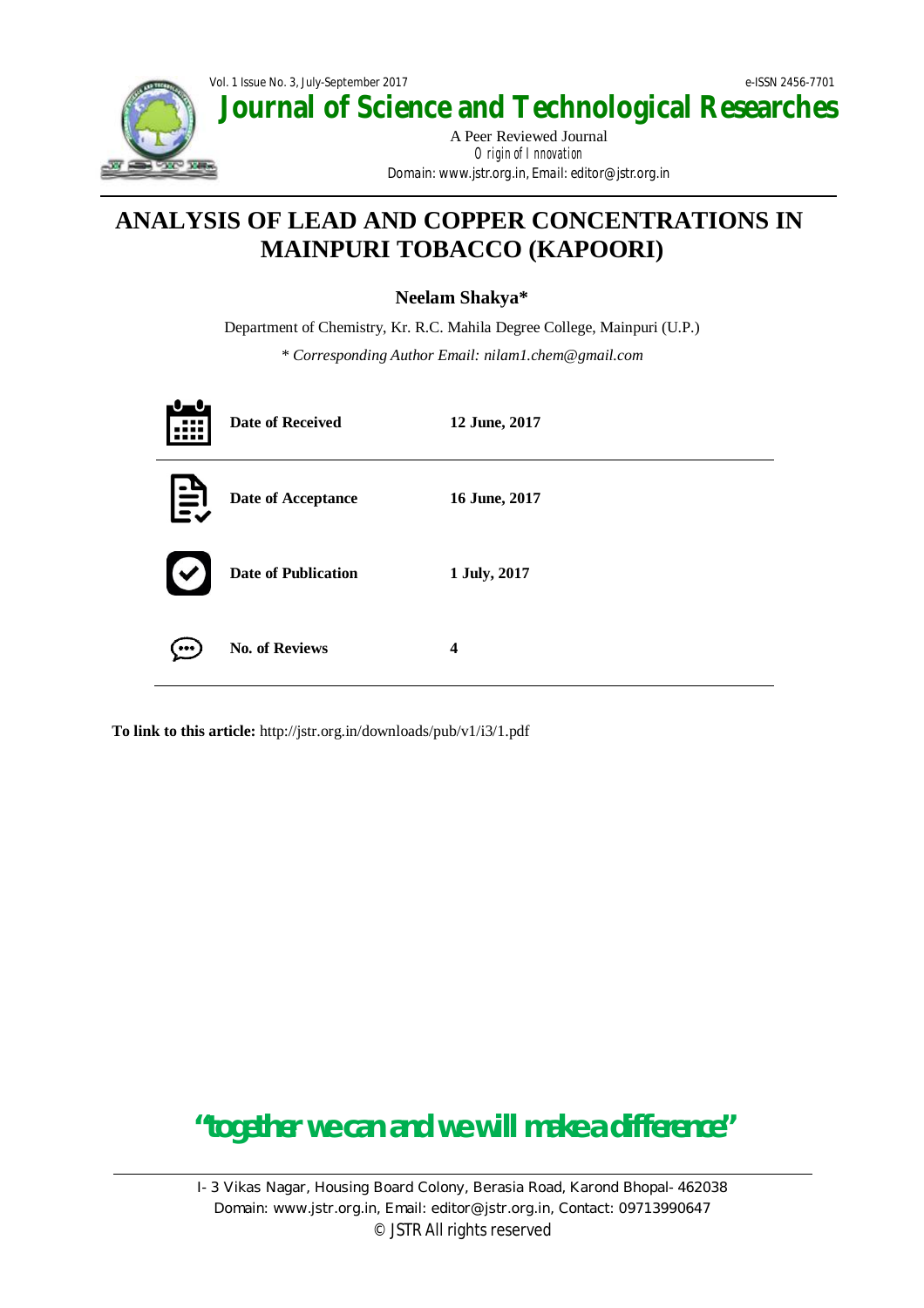

# **ANALYSIS OF LEAD AND COPPER CONCENTRATIONS IN MAINPURI TOBACCO (KAPOORI)**

**Neelam Shakya\***

Department of Chemistry, Kr. R.C. Mahila Degree College, Mainpuri (U.P.) *\* Corresponding Author Email: nilam1.chem@gmail.com*

|   | <b>Date of Received</b>    | 12 June, 2017           |
|---|----------------------------|-------------------------|
| 旨 | Date of Acceptance         | 16 June, 2017           |
|   | <b>Date of Publication</b> | 1 July, 2017            |
|   | <b>No. of Reviews</b>      | $\overline{\mathbf{4}}$ |

**To link to this article:** http://jstr.org.in/downloads/pub/v1/i3/1.pdf

# **"together we can and we will make a difference"**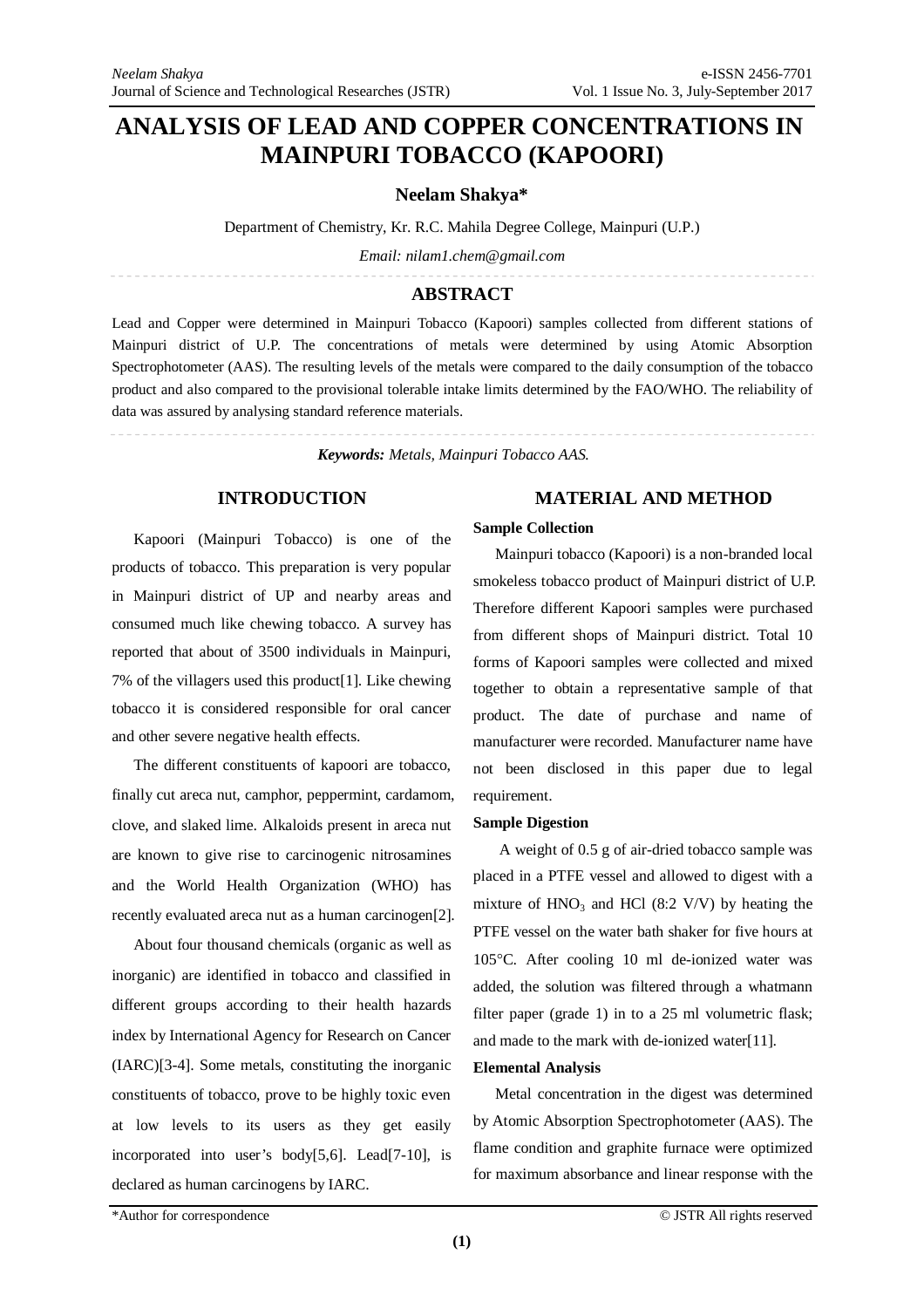# **ANALYSIS OF LEAD AND COPPER CONCENTRATIONS IN MAINPURI TOBACCO (KAPOORI)**

**Neelam Shakya\***

Department of Chemistry, Kr. R.C. Mahila Degree College, Mainpuri (U.P.)

*Email: nilam1.chem@gmail.com*

## **ABSTRACT**

Lead and Copper were determined in Mainpuri Tobacco (Kapoori) samples collected from different stations of Mainpuri district of U.P. The concentrations of metals were determined by using Atomic Absorption Spectrophotometer (AAS). The resulting levels of the metals were compared to the daily consumption of the tobacco product and also compared to the provisional tolerable intake limits determined by the FAO/WHO. The reliability of data was assured by analysing standard reference materials.

*Keywords: Metals, Mainpuri Tobacco AAS.*

### **INTRODUCTION**

Kapoori (Mainpuri Tobacco) is one of the products of tobacco. This preparation is very popular in Mainpuri district of UP and nearby areas and consumed much like chewing tobacco. A survey has reported that about of 3500 individuals in Mainpuri, 7% of the villagers used this product[1]. Like chewing tobacco it is considered responsible for oral cancer and other severe negative health effects.

The different constituents of kapoori are tobacco, finally cut areca nut, camphor, peppermint, cardamom, clove, and slaked lime. Alkaloids present in areca nut are known to give rise to carcinogenic nitrosamines and the World Health Organization (WHO) has recently evaluated areca nut as a human carcinogen[2].

About four thousand chemicals (organic as well as inorganic) are identified in tobacco and classified in different groups according to their health hazards index by International Agency for Research on Cancer (IARC)[3-4]. Some metals, constituting the inorganic constituents of tobacco, prove to be highly toxic even at low levels to its users as they get easily incorporated into user's body[5,6]. Lead[7-10], is declared as human carcinogens by IARC.

# **MATERIAL AND METHOD**

#### **Sample Collection**

Mainpuri tobacco (Kapoori) is a non-branded local smokeless tobacco product of Mainpuri district of U.P. Therefore different Kapoori samples were purchased from different shops of Mainpuri district. Total 10 forms of Kapoori samples were collected and mixed together to obtain a representative sample of that product. The date of purchase and name of manufacturer were recorded. Manufacturer name have not been disclosed in this paper due to legal requirement.

#### **Sample Digestion**

A weight of 0.5 g of air-dried tobacco sample was placed in a PTFE vessel and allowed to digest with a mixture of  $HNO<sub>3</sub>$  and HCl (8:2 V/V) by heating the PTFE vessel on the water bath shaker for five hours at 105C. After cooling 10 ml de-ionized water was added, the solution was filtered through a whatmann filter paper (grade 1) in to a 25 ml volumetric flask; and made to the mark with de-ionized water[11].

#### **Elemental Analysis**

Metal concentration in the digest was determined by Atomic Absorption Spectrophotometer (AAS). The flame condition and graphite furnace were optimized for maximum absorbance and linear response with the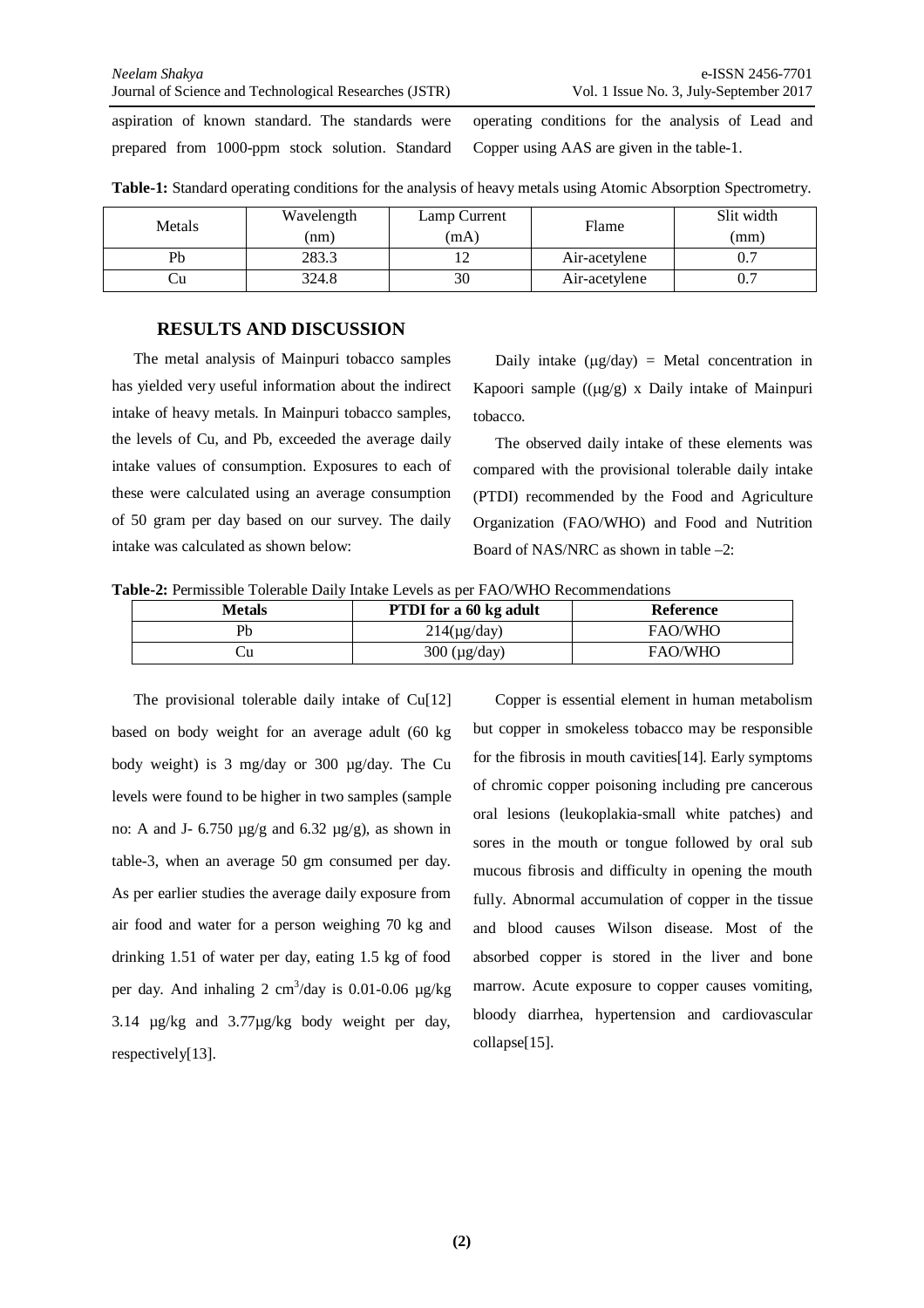aspiration of known standard. The standards were prepared from 1000-ppm stock solution. Standard

operating conditions for the analysis of Lead and Copper using AAS are given in the table-1.

| Metals | Wavelength<br>(nm) | Lamp Current<br>(mA) | Flame         | Slit width<br>(mm) |  |
|--------|--------------------|----------------------|---------------|--------------------|--|
| Pb     | 283.3              | ست                   | Air-acetylene |                    |  |
| ો⊔     | 324.8              | 30                   | Air-acetylene |                    |  |

**Table-1:** Standard operating conditions for the analysis of heavy metals using Atomic Absorption Spectrometry.

# **RESULTS AND DISCUSSION**

The metal analysis of Mainpuri tobacco samples has yielded very useful information about the indirect intake of heavy metals. In Mainpuri tobacco samples, the levels of Cu, and Pb, exceeded the average daily intake values of consumption. Exposures to each of these were calculated using an average consumption of 50 gram per day based on our survey. The daily intake was calculated as shown below:

Daily intake  $(\mu g/day) = Metal concentration in$ Kapoori sample  $((\mu g/g) \times$  Daily intake of Mainpuri tobacco.

The observed daily intake of these elements was compared with the provisional tolerable daily intake (PTDI) recommended by the Food and Agriculture Organization (FAO/WHO) and Food and Nutrition Board of NAS/NRC as shown in table –2:

**Table-2:** Permissible Tolerable Daily Intake Levels as per FAO/WHO Recommendations

| <b>Metals</b> | <b>PTDI</b> for a 60 kg adult | Reference      |  |  |
|---------------|-------------------------------|----------------|--|--|
| Pb            | $214(\mu g/day)$              | <b>FAO/WHO</b> |  |  |
| ال            | $300 \text{ (µg/day)}$        | <b>FAO/WHO</b> |  |  |

The provisional tolerable daily intake of Cu[12] based on body weight for an average adult (60 kg body weight) is 3 mg/day or 300 µg/day. The Cu levels were found to be higher in two samples (sample no: A and J-  $6.750 \mu g/g$  and  $6.32 \mu g/g$ , as shown in table-3, when an average 50 gm consumed per day. As per earlier studies the average daily exposure from air food and water for a person weighing 70 kg and drinking 1.51 of water per day, eating 1.5 kg of food per day. And inhaling  $2 \text{ cm}^3/\text{day}$  is 0.01-0.06  $\mu$ g/kg 3.14 µg/kg and 3.77µg/kg body weight per day, respectively[13].

Copper is essential element in human metabolism but copper in smokeless tobacco may be responsible for the fibrosis in mouth cavities[14]. Early symptoms of chromic copper poisoning including pre cancerous oral lesions (leukoplakia-small white patches) and sores in the mouth or tongue followed by oral sub mucous fibrosis and difficulty in opening the mouth fully. Abnormal accumulation of copper in the tissue and blood causes Wilson disease. Most of the absorbed copper is stored in the liver and bone marrow. Acute exposure to copper causes vomiting, bloody diarrhea, hypertension and cardiovascular collapse[15].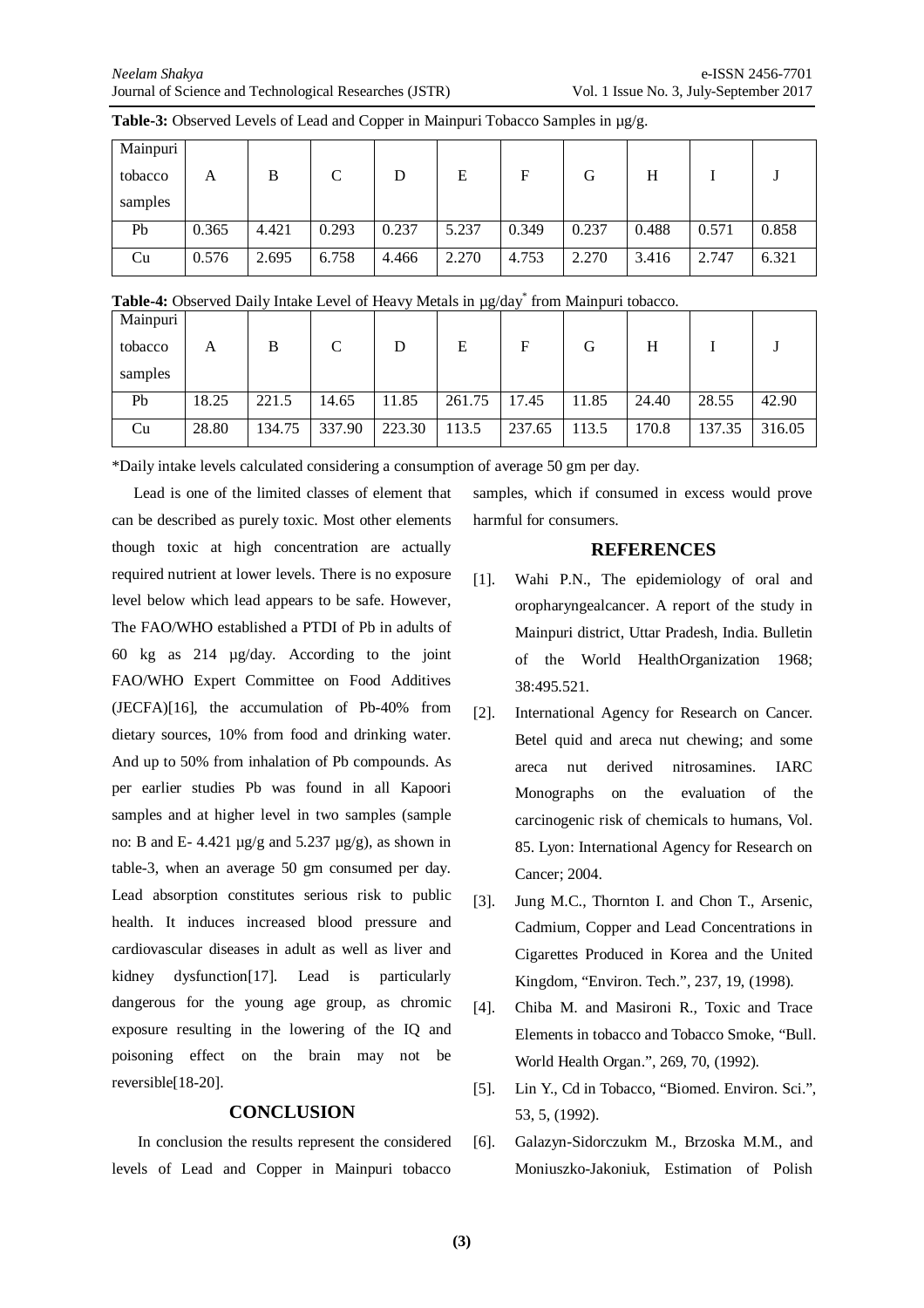| Mainpuri |       |       |              |       |       |       |       |       |       |       |
|----------|-------|-------|--------------|-------|-------|-------|-------|-------|-------|-------|
| tobacco  | Α     | B     | $\mathsf{C}$ | D     | E     | F     | G     | H     |       |       |
| samples  |       |       |              |       |       |       |       |       |       |       |
| Pb       | 0.365 | 4.421 | 0.293        | 0.237 | 5.237 | 0.349 | 0.237 | 0.488 | 0.571 | 0.858 |
| Cu       | 0.576 | 2.695 | 6.758        | 4.466 | 2.270 | 4.753 | 2.270 | 3.416 | 2.747 | 6.321 |

**Table-3:** Observed Levels of Lead and Copper in Mainpuri Tobacco Samples in µg/g.

| Table-4: Observed Daily Intake Level of Heavy Metals in µg/day <sup>*</sup> from Mainpuri tobacco. |  |  |  |
|----------------------------------------------------------------------------------------------------|--|--|--|
|                                                                                                    |  |  |  |
|                                                                                                    |  |  |  |

| Mainpuri |       |        |              |        |        |        |       |       |        |        |
|----------|-------|--------|--------------|--------|--------|--------|-------|-------|--------|--------|
| tobacco  | А     | В      | $\mathsf{C}$ | D      | Е      | F      | G     | Н     |        |        |
| samples  |       |        |              |        |        |        |       |       |        |        |
| Pb       | 18.25 | 221.5  | 14.65        | 11.85  | 261.75 | 17.45  | 11.85 | 24.40 | 28.55  | 42.90  |
| Cu       | 28.80 | 134.75 | 337.90       | 223.30 | 113.5  | 237.65 | 113.5 | 170.8 | 137.35 | 316.05 |

\*Daily intake levels calculated considering a consumption of average 50 gm per day.

Lead is one of the limited classes of element that can be described as purely toxic. Most other elements though toxic at high concentration are actually required nutrient at lower levels. There is no exposure level below which lead appears to be safe. However, The FAO/WHO established a PTDI of Pb in adults of 60 kg as 214 µg/day. According to the joint FAO/WHO Expert Committee on Food Additives (JECFA)[16], the accumulation of Pb-40% from dietary sources, 10% from food and drinking water. And up to 50% from inhalation of Pb compounds. As per earlier studies Pb was found in all Kapoori samples and at higher level in two samples (sample no: B and E- 4.421  $\mu$ g/g and 5.237  $\mu$ g/g), as shown in table-3, when an average 50 gm consumed per day. Lead absorption constitutes serious risk to public health. It induces increased blood pressure and cardiovascular diseases in adult as well as liver and kidney dysfunction[17]. Lead is particularly dangerous for the young age group, as chromic exposure resulting in the lowering of the IQ and poisoning effect on the brain may not be reversible[18-20].

# **CONCLUSION**

In conclusion the results represent the considered levels of Lead and Copper in Mainpuri tobacco

samples, which if consumed in excess would prove harmful for consumers.

## **REFERENCES**

- [1]. Wahi P.N., The epidemiology of oral and oropharyngealcancer. A report of the study in Mainpuri district, Uttar Pradesh, India. Bulletin of the World HealthOrganization 1968; 38:495.521.
- [2]. International Agency for Research on Cancer. Betel quid and areca nut chewing; and some areca nut derived nitrosamines. IARC Monographs on the evaluation of the carcinogenic risk of chemicals to humans, Vol. 85. Lyon: International Agency for Research on Cancer; 2004.
- [3]. Jung M.C., Thornton I. and Chon T., Arsenic, Cadmium, Copper and Lead Concentrations in Cigarettes Produced in Korea and the United Kingdom, "Environ. Tech.", 237, 19, (1998).
- [4]. Chiba M. and Masironi R., Toxic and Trace Elements in tobacco and Tobacco Smoke, "Bull. World Health Organ.", 269, 70, (1992).
- [5]. Lin Y., Cd in Tobacco, "Biomed. Environ. Sci.", 53, 5, (1992).
- [6]. Galazyn-Sidorczukm M., Brzoska M.M., and Moniuszko-Jakoniuk, Estimation of Polish